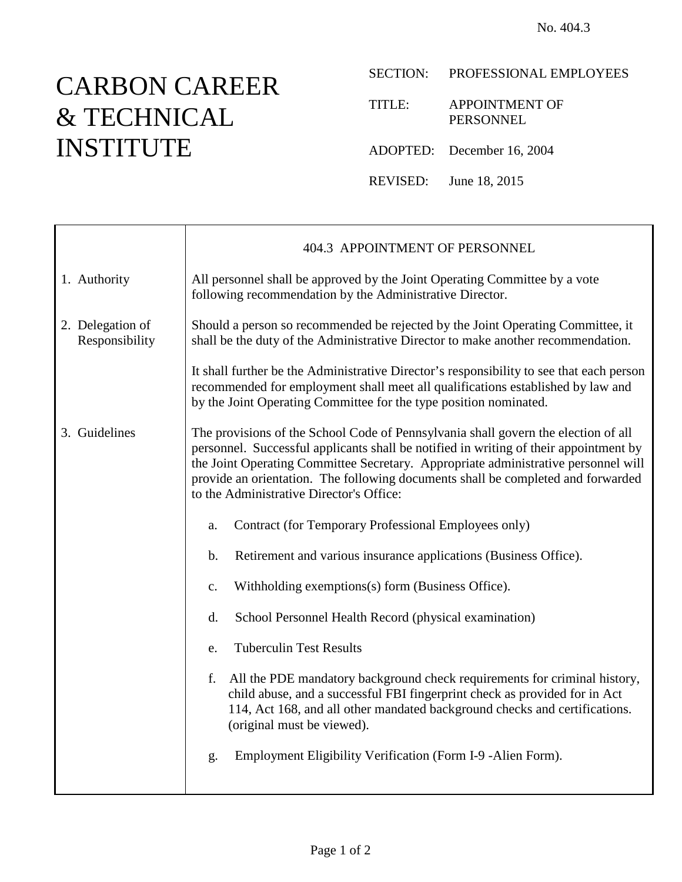## CARBON CAREER & TECHNICAL INSTITUTE

 $\top$ 

 $\Gamma$ 

TITLE: APPOINTMENT OF PERSONNEL

ADOPTED: December 16, 2004

REVISED: June 18, 2015

|                                    | 404.3 APPOINTMENT OF PERSONNEL                                                                                                                                                                                                                                                                                                                                                                    |  |  |
|------------------------------------|---------------------------------------------------------------------------------------------------------------------------------------------------------------------------------------------------------------------------------------------------------------------------------------------------------------------------------------------------------------------------------------------------|--|--|
| 1. Authority                       | All personnel shall be approved by the Joint Operating Committee by a vote<br>following recommendation by the Administrative Director.                                                                                                                                                                                                                                                            |  |  |
| 2. Delegation of<br>Responsibility | Should a person so recommended be rejected by the Joint Operating Committee, it<br>shall be the duty of the Administrative Director to make another recommendation.                                                                                                                                                                                                                               |  |  |
|                                    | It shall further be the Administrative Director's responsibility to see that each person<br>recommended for employment shall meet all qualifications established by law and<br>by the Joint Operating Committee for the type position nominated.                                                                                                                                                  |  |  |
| 3. Guidelines                      | The provisions of the School Code of Pennsylvania shall govern the election of all<br>personnel. Successful applicants shall be notified in writing of their appointment by<br>the Joint Operating Committee Secretary. Appropriate administrative personnel will<br>provide an orientation. The following documents shall be completed and forwarded<br>to the Administrative Director's Office: |  |  |
|                                    | Contract (for Temporary Professional Employees only)<br>a.                                                                                                                                                                                                                                                                                                                                        |  |  |
|                                    | Retirement and various insurance applications (Business Office).<br>$\mathbf b$ .                                                                                                                                                                                                                                                                                                                 |  |  |
|                                    | Withholding exemptions(s) form (Business Office).<br>c.                                                                                                                                                                                                                                                                                                                                           |  |  |
|                                    | School Personnel Health Record (physical examination)<br>d.                                                                                                                                                                                                                                                                                                                                       |  |  |
|                                    | <b>Tuberculin Test Results</b><br>e.                                                                                                                                                                                                                                                                                                                                                              |  |  |
|                                    | All the PDE mandatory background check requirements for criminal history,<br>f.<br>child abuse, and a successful FBI fingerprint check as provided for in Act<br>114, Act 168, and all other mandated background checks and certifications.<br>(original must be viewed).                                                                                                                         |  |  |
|                                    | Employment Eligibility Verification (Form I-9 -Alien Form).<br>g.                                                                                                                                                                                                                                                                                                                                 |  |  |